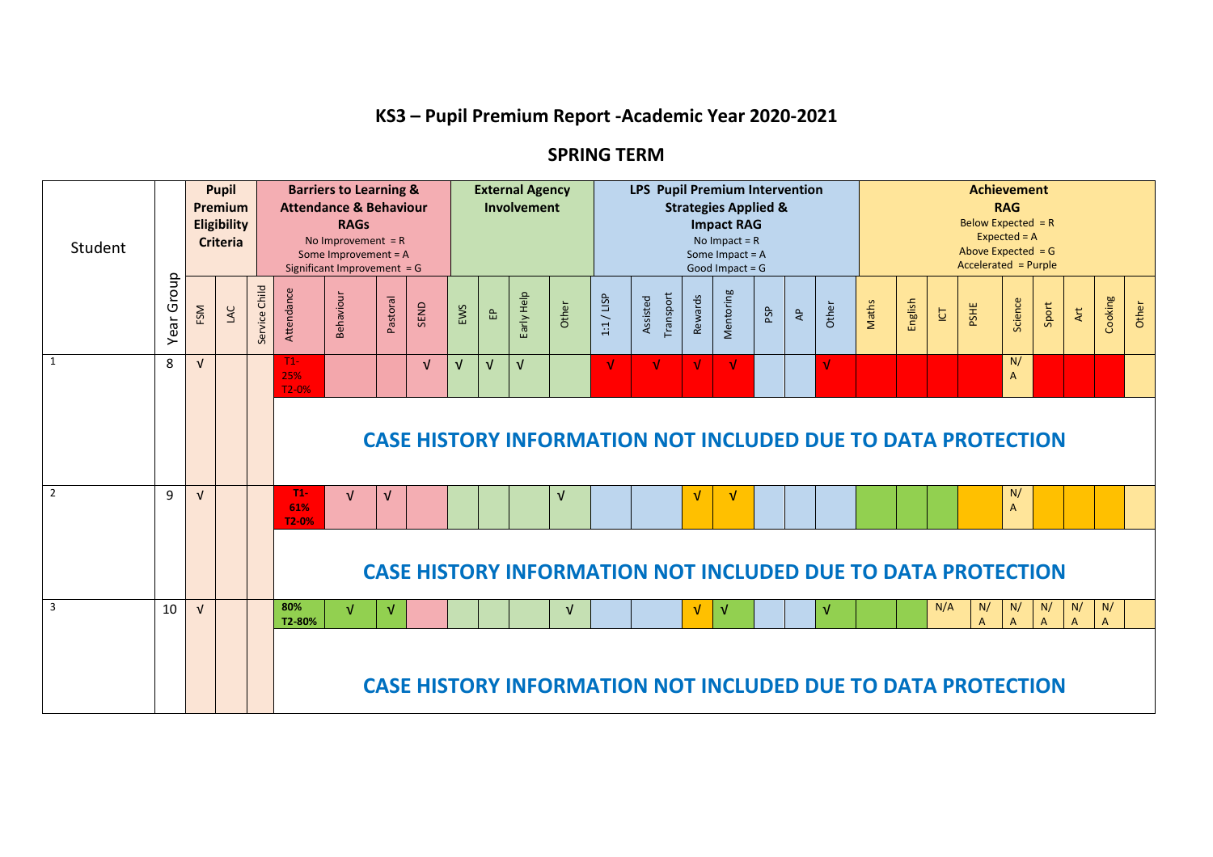## **KS3 – Pupil Premium Report -Academic Year 2020-2021**

## **SPRING TERM**

| Student        |               | <b>Pupil</b><br>Premium<br>Eligibility<br><b>Criteria</b> |     |                  |                       | <b>Barriers to Learning &amp;</b><br><b>Attendance &amp; Behaviour</b><br><b>RAGs</b><br>No Improvement $= R$<br>Some Improvement = A<br>Significant Improvement = G |            |            |            | <b>External Agency</b><br>LPS Pupil Premium Intervention<br>Involvement<br><b>Strategies Applied &amp;</b><br><b>Impact RAG</b><br>No Impact = $R$<br>Some Impact = A<br>Good Impact = $G$ |            |            |            |                       |         |                                                                     |     |                |            | <b>Achievement</b><br><b>RAG</b><br>Below Expected $= R$<br>$Expected = A$<br>Above Expected $=$ G<br>Accelerated = Purple |         |                       |                      |                      |       |                |                      |       |
|----------------|---------------|-----------------------------------------------------------|-----|------------------|-----------------------|----------------------------------------------------------------------------------------------------------------------------------------------------------------------|------------|------------|------------|--------------------------------------------------------------------------------------------------------------------------------------------------------------------------------------------|------------|------------|------------|-----------------------|---------|---------------------------------------------------------------------|-----|----------------|------------|----------------------------------------------------------------------------------------------------------------------------|---------|-----------------------|----------------------|----------------------|-------|----------------|----------------------|-------|
|                | Group<br>Year | FSM                                                       | LAC | Child<br>Service | Attendance            | Behaviour                                                                                                                                                            | Pastoral   | SEND       | EWS        | $\mathbf{f}$                                                                                                                                                                               | Early Help | Other      | 1:1 / LISP | Transport<br>Assisted | Rewards | Mentoring                                                           | PSP | $\overline{A}$ | Other      | Maths                                                                                                                      | English | $\overline{\text{C}}$ | PSHE                 | Science              | Sport | Art            | Cooking              | Other |
| 1              | 8             | $\sqrt{ }$                                                |     |                  | $T1-$<br>25%<br>T2-0% |                                                                                                                                                                      |            | $\sqrt{ }$ | $\sqrt{ }$ | $\sqrt{ }$                                                                                                                                                                                 | $\sqrt{ }$ |            | $\sqrt{ }$ | V                     | V       | $\sqrt{ }$                                                          |     |                | V          |                                                                                                                            |         |                       |                      | N/<br>$\overline{A}$ |       |                |                      |       |
|                |               |                                                           |     |                  |                       |                                                                                                                                                                      |            |            |            |                                                                                                                                                                                            |            |            |            |                       |         | <b>CASE HISTORY INFORMATION NOT INCLUDED DUE TO DATA PROTECTION</b> |     |                |            |                                                                                                                            |         |                       |                      |                      |       |                |                      |       |
| $\overline{2}$ | $\mathbf{q}$  | $\sqrt{ }$                                                |     |                  | $T1-$<br>61%<br>T2-0% | $\sqrt{ }$                                                                                                                                                           | $\sqrt{ }$ |            |            |                                                                                                                                                                                            |            | V          |            |                       | V       | V                                                                   |     |                |            |                                                                                                                            |         |                       |                      | N/<br>$\overline{A}$ |       |                |                      |       |
|                |               |                                                           |     |                  |                       |                                                                                                                                                                      |            |            |            |                                                                                                                                                                                            |            |            |            |                       |         | <b>CASE HISTORY INFORMATION NOT INCLUDED DUE TO DATA PROTECTION</b> |     |                |            |                                                                                                                            |         |                       |                      |                      |       |                |                      |       |
| $\overline{3}$ | 10            | $\sqrt{ }$                                                |     |                  | 80%<br>T2-80%         | v                                                                                                                                                                    | $\sqrt{ }$ |            |            |                                                                                                                                                                                            |            | $\sqrt{ }$ |            |                       | V       | $\sqrt{ }$                                                          |     |                | $\sqrt{ }$ |                                                                                                                            |         | N/A                   | N/<br>$\overline{A}$ | N/<br>$\overline{A}$ | N/    | N/<br>$\Delta$ | N/<br>$\overline{A}$ |       |
|                |               |                                                           |     |                  |                       |                                                                                                                                                                      |            |            |            |                                                                                                                                                                                            |            |            |            |                       |         | <b>CASE HISTORY INFORMATION NOT INCLUDED DUE TO DATA PROTECTION</b> |     |                |            |                                                                                                                            |         |                       |                      |                      |       |                |                      |       |